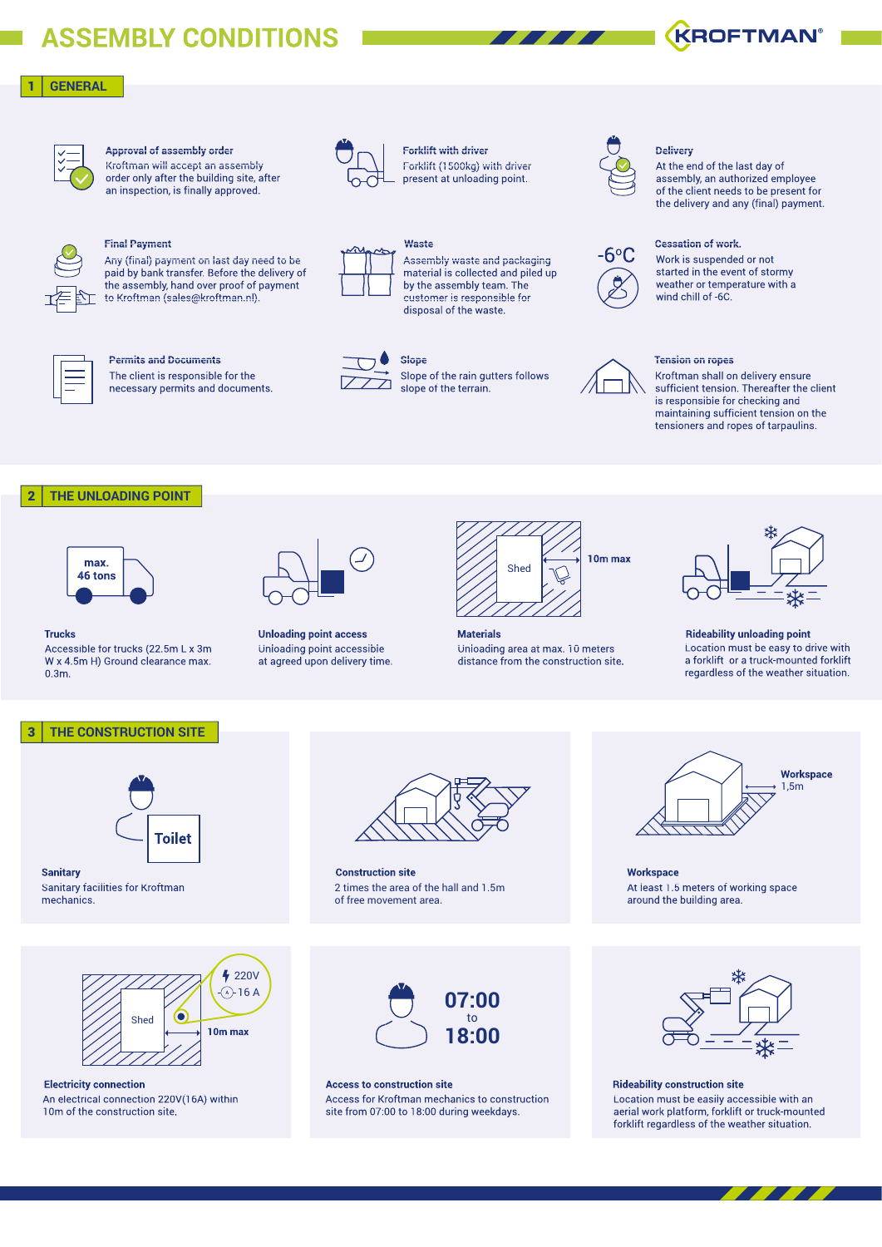# **ASSEMBLY CONDITIONS**

# 1 **GENERAL**



# **Approval of assembly order**

Kroftman will accept an assembly order only after the building site, after an inspection, is finally approved.



# **Final Payment**

Any (final) payment on last day need to be paid by bank transfer. Before the delivery of the assembly, hand over proof of payment to Kroftman (sales@kroftman.nl).



### **Permits and Documents**

The client is responsible for the necessary permits and documents.



Forklift (1500kg) with driver present at unloading point. **Forklift with driver**



Assembly waste and packaging material is collected and piled up by the assembly team. The customer is responsible for disposal of the waste.



# **Slope**

Slope of the rain gutters follows slope of the terrain.



### **Delivery**

At the end of the last day of assembly, an authorized employee of the client needs to be present for the delivery and any (final) payment.



# Work is suspended or not

started in the event of stormy weather or temperature with a wind chill of -6C.



### **Tension on ropes**

Kroftman shall on delivery ensure sufficient tension. Thereafter the client is responsible for checking and maintaining sufficient tension on the tensioners and ropes of tarpaulins.

# 2 **THE UNLOADING POINT**



**Trucks**

Accessible for trucks (22.5m L x 3m W x 4.5m H) Ground clearance max. 0.3m.



**Unloading point access <b>Materials** Unloading point accessible at agreed upon delivery time.



Unloading area at max. 10 meters distance from the construction site.



#### **Rideability unloading point** Location must be easy to drive with a forklift or a truck-mounted forklift regardless of the weather situation.

### 3 **THE CONSTRUCTION SITE**



4 220V  $\land$  16 A

**10m max**

**Sanitary** Sanitary facilities for Kroftman mechanics.

An electrical connection 220V(16A) within

Shed

ſe

10m of the construction site.



**Construction site** 2 times the area of the hall and 1.5m of free movement area.



**Electricity connection Access to construction site** Access for Kroftman mechanics to construction site from 07:00 to 18:00 during weekdays.



At least 1.5 meters of working space around the building area. **Workspace**



**Rideability construction site** Location must be easily accessible with an aerial work platform, forklift or truck-mounted forklift regardless of the weather situation.

**KROFTMAN®**